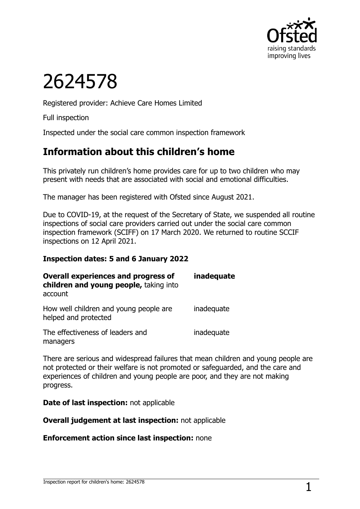

# 2624578

Registered provider: Achieve Care Homes Limited

Full inspection

Inspected under the social care common inspection framework

# **Information about this children's home**

This privately run children's home provides care for up to two children who may present with needs that are associated with social and emotional difficulties.

The manager has been registered with Ofsted since August 2021.

Due to COVID-19, at the request of the Secretary of State, we suspended all routine inspections of social care providers carried out under the social care common inspection framework (SCIFF) on 17 March 2020. We returned to routine SCCIF inspections on 12 April 2021.

### **Inspection dates: 5 and 6 January 2022**

| <b>Overall experiences and progress of</b><br>children and young people, taking into<br>account | inadequate |
|-------------------------------------------------------------------------------------------------|------------|
| How well children and young people are<br>helped and protected                                  | inadequate |
| The effectiveness of leaders and<br>managers                                                    | inadequate |

There are serious and widespread failures that mean children and young people are not protected or their welfare is not promoted or safeguarded, and the care and experiences of children and young people are poor, and they are not making progress.

**Date of last inspection:** not applicable

**Overall judgement at last inspection:** not applicable

**Enforcement action since last inspection:** none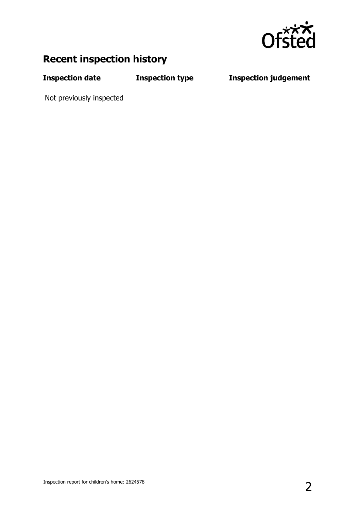

# **Recent inspection history**

**Inspection date Inspection type Inspection judgement**

Not previously inspected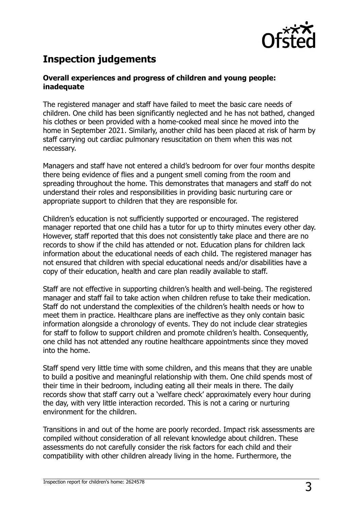

# **Inspection judgements**

#### **Overall experiences and progress of children and young people: inadequate**

The registered manager and staff have failed to meet the basic care needs of children. One child has been significantly neglected and he has not bathed, changed his clothes or been provided with a home-cooked meal since he moved into the home in September 2021. Similarly, another child has been placed at risk of harm by staff carrying out cardiac pulmonary resuscitation on them when this was not necessary.

Managers and staff have not entered a child's bedroom for over four months despite there being evidence of flies and a pungent smell coming from the room and spreading throughout the home. This demonstrates that managers and staff do not understand their roles and responsibilities in providing basic nurturing care or appropriate support to children that they are responsible for.

Children's education is not sufficiently supported or encouraged. The registered manager reported that one child has a tutor for up to thirty minutes every other day. However, staff reported that this does not consistently take place and there are no records to show if the child has attended or not. Education plans for children lack information about the educational needs of each child. The registered manager has not ensured that children with special educational needs and/or disabilities have a copy of their education, health and care plan readily available to staff.

Staff are not effective in supporting children's health and well-being. The registered manager and staff fail to take action when children refuse to take their medication. Staff do not understand the complexities of the children's health needs or how to meet them in practice. Healthcare plans are ineffective as they only contain basic information alongside a chronology of events. They do not include clear strategies for staff to follow to support children and promote children's health. Consequently, one child has not attended any routine healthcare appointments since they moved into the home.

Staff spend very little time with some children, and this means that they are unable to build a positive and meaningful relationship with them. One child spends most of their time in their bedroom, including eating all their meals in there. The daily records show that staff carry out a 'welfare check' approximately every hour during the day, with very little interaction recorded. This is not a caring or nurturing environment for the children.

Transitions in and out of the home are poorly recorded. Impact risk assessments are compiled without consideration of all relevant knowledge about children. These assessments do not carefully consider the risk factors for each child and their compatibility with other children already living in the home. Furthermore, the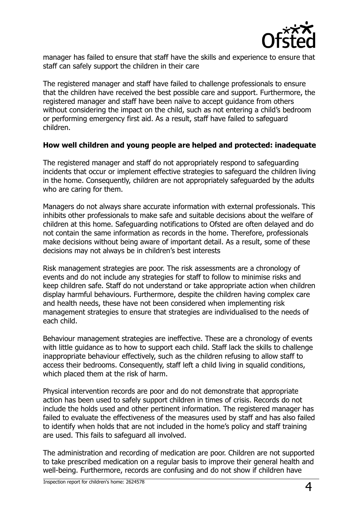

manager has failed to ensure that staff have the skills and experience to ensure that staff can safely support the children in their care

The registered manager and staff have failed to challenge professionals to ensure that the children have received the best possible care and support. Furthermore, the registered manager and staff have been naïve to accept guidance from others without considering the impact on the child, such as not entering a child's bedroom or performing emergency first aid. As a result, staff have failed to safeguard children.

#### **How well children and young people are helped and protected: inadequate**

The registered manager and staff do not appropriately respond to safeguarding incidents that occur or implement effective strategies to safeguard the children living in the home. Consequently, children are not appropriately safeguarded by the adults who are caring for them.

Managers do not always share accurate information with external professionals. This inhibits other professionals to make safe and suitable decisions about the welfare of children at this home. Safeguarding notifications to Ofsted are often delayed and do not contain the same information as records in the home. Therefore, professionals make decisions without being aware of important detail. As a result, some of these decisions may not always be in children's best interests

Risk management strategies are poor. The risk assessments are a chronology of events and do not include any strategies for staff to follow to minimise risks and keep children safe. Staff do not understand or take appropriate action when children display harmful behaviours. Furthermore, despite the children having complex care and health needs, these have not been considered when implementing risk management strategies to ensure that strategies are individualised to the needs of each child.

Behaviour management strategies are ineffective. These are a chronology of events with little guidance as to how to support each child. Staff lack the skills to challenge inappropriate behaviour effectively, such as the children refusing to allow staff to access their bedrooms. Consequently, staff left a child living in squalid conditions, which placed them at the risk of harm.

Physical intervention records are poor and do not demonstrate that appropriate action has been used to safely support children in times of crisis. Records do not include the holds used and other pertinent information. The registered manager has failed to evaluate the effectiveness of the measures used by staff and has also failed to identify when holds that are not included in the home's policy and staff training are used. This fails to safeguard all involved.

The administration and recording of medication are poor. Children are not supported to take prescribed medication on a regular basis to improve their general health and well-being. Furthermore, records are confusing and do not show if children have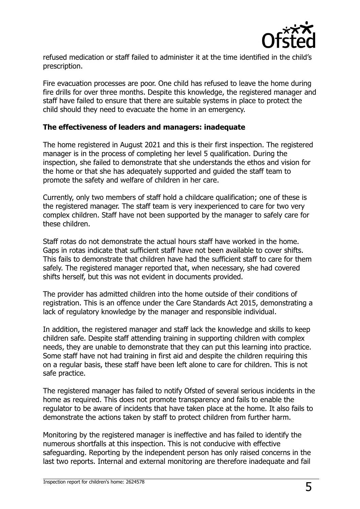

refused medication or staff failed to administer it at the time identified in the child's prescription.

Fire evacuation processes are poor. One child has refused to leave the home during fire drills for over three months. Despite this knowledge, the registered manager and staff have failed to ensure that there are suitable systems in place to protect the child should they need to evacuate the home in an emergency.

#### **The effectiveness of leaders and managers: inadequate**

The home registered in August 2021 and this is their first inspection. The registered manager is in the process of completing her level 5 qualification. During the inspection, she failed to demonstrate that she understands the ethos and vision for the home or that she has adequately supported and guided the staff team to promote the safety and welfare of children in her care.

Currently, only two members of staff hold a childcare qualification; one of these is the registered manager. The staff team is very inexperienced to care for two very complex children. Staff have not been supported by the manager to safely care for these children.

Staff rotas do not demonstrate the actual hours staff have worked in the home. Gaps in rotas indicate that sufficient staff have not been available to cover shifts. This fails to demonstrate that children have had the sufficient staff to care for them safely. The registered manager reported that, when necessary, she had covered shifts herself, but this was not evident in documents provided.

The provider has admitted children into the home outside of their conditions of registration. This is an offence under the Care Standards Act 2015, demonstrating a lack of regulatory knowledge by the manager and responsible individual.

In addition, the registered manager and staff lack the knowledge and skills to keep children safe. Despite staff attending training in supporting children with complex needs, they are unable to demonstrate that they can put this learning into practice. Some staff have not had training in first aid and despite the children requiring this on a regular basis, these staff have been left alone to care for children. This is not safe practice.

The registered manager has failed to notify Ofsted of several serious incidents in the home as required. This does not promote transparency and fails to enable the regulator to be aware of incidents that have taken place at the home. It also fails to demonstrate the actions taken by staff to protect children from further harm.

Monitoring by the registered manager is ineffective and has failed to identify the numerous shortfalls at this inspection. This is not conducive with effective safeguarding. Reporting by the independent person has only raised concerns in the last two reports. Internal and external monitoring are therefore inadequate and fail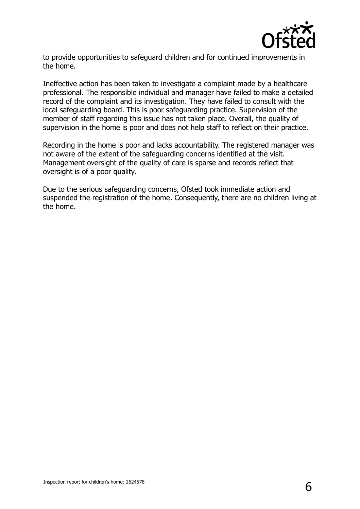

to provide opportunities to safeguard children and for continued improvements in the home.

Ineffective action has been taken to investigate a complaint made by a healthcare professional. The responsible individual and manager have failed to make a detailed record of the complaint and its investigation. They have failed to consult with the local safeguarding board. This is poor safeguarding practice. Supervision of the member of staff regarding this issue has not taken place. Overall, the quality of supervision in the home is poor and does not help staff to reflect on their practice.

Recording in the home is poor and lacks accountability. The registered manager was not aware of the extent of the safeguarding concerns identified at the visit. Management oversight of the quality of care is sparse and records reflect that oversight is of a poor quality.

Due to the serious safeguarding concerns, Ofsted took immediate action and suspended the registration of the home. Consequently, there are no children living at the home.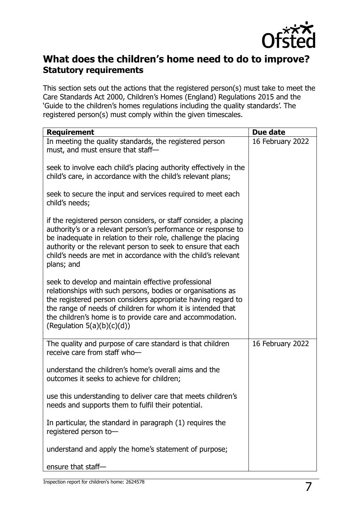

## **What does the children's home need to do to improve? Statutory requirements**

This section sets out the actions that the registered person(s) must take to meet the Care Standards Act 2000, Children's Homes (England) Regulations 2015 and the 'Guide to the children's homes regulations including the quality standards'. The registered person(s) must comply within the given timescales.

| <b>Requirement</b>                                                                                                                                                                                                                                                                                                                                 | Due date         |
|----------------------------------------------------------------------------------------------------------------------------------------------------------------------------------------------------------------------------------------------------------------------------------------------------------------------------------------------------|------------------|
| In meeting the quality standards, the registered person<br>must, and must ensure that staff-                                                                                                                                                                                                                                                       | 16 February 2022 |
| seek to involve each child's placing authority effectively in the<br>child's care, in accordance with the child's relevant plans;                                                                                                                                                                                                                  |                  |
| seek to secure the input and services required to meet each<br>child's needs;                                                                                                                                                                                                                                                                      |                  |
| if the registered person considers, or staff consider, a placing<br>authority's or a relevant person's performance or response to<br>be inadequate in relation to their role, challenge the placing<br>authority or the relevant person to seek to ensure that each<br>child's needs are met in accordance with the child's relevant<br>plans; and |                  |
| seek to develop and maintain effective professional<br>relationships with such persons, bodies or organisations as<br>the registered person considers appropriate having regard to<br>the range of needs of children for whom it is intended that<br>the children's home is to provide care and accommodation.<br>(Regulation $5(a)(b)(c)(d)$ )    |                  |
| The quality and purpose of care standard is that children<br>receive care from staff who-                                                                                                                                                                                                                                                          | 16 February 2022 |
| understand the children's home's overall aims and the<br>outcomes it seeks to achieve for children;                                                                                                                                                                                                                                                |                  |
| use this understanding to deliver care that meets children's<br>needs and supports them to fulfil their potential.                                                                                                                                                                                                                                 |                  |
| In particular, the standard in paragraph (1) requires the<br>registered person to-                                                                                                                                                                                                                                                                 |                  |
| understand and apply the home's statement of purpose;                                                                                                                                                                                                                                                                                              |                  |
| ensure that staff-                                                                                                                                                                                                                                                                                                                                 |                  |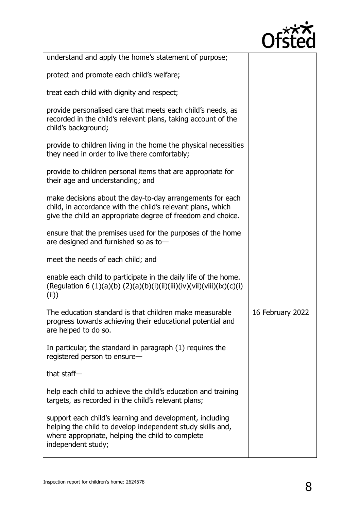

| understand and apply the home's statement of purpose;                                                                                                                                            |                  |
|--------------------------------------------------------------------------------------------------------------------------------------------------------------------------------------------------|------------------|
| protect and promote each child's welfare;                                                                                                                                                        |                  |
| treat each child with dignity and respect;                                                                                                                                                       |                  |
| provide personalised care that meets each child's needs, as<br>recorded in the child's relevant plans, taking account of the<br>child's background;                                              |                  |
| provide to children living in the home the physical necessities<br>they need in order to live there comfortably;                                                                                 |                  |
| provide to children personal items that are appropriate for<br>their age and understanding; and                                                                                                  |                  |
| make decisions about the day-to-day arrangements for each<br>child, in accordance with the child's relevant plans, which<br>give the child an appropriate degree of freedom and choice.          |                  |
| ensure that the premises used for the purposes of the home<br>are designed and furnished so as to-                                                                                               |                  |
| meet the needs of each child; and                                                                                                                                                                |                  |
| enable each child to participate in the daily life of the home.<br>(Regulation 6 (1)(a)(b) (2)(a)(b)(i)(ii)(iii)(iv)(vii)(viii)(ix)(c)(i)<br>(iii))                                              |                  |
| The education standard is that children make measurable<br>progress towards achieving their educational potential and<br>are helped to do so.                                                    | 16 February 2022 |
| In particular, the standard in paragraph (1) requires the<br>registered person to ensure-                                                                                                        |                  |
| that staff-                                                                                                                                                                                      |                  |
| help each child to achieve the child's education and training<br>targets, as recorded in the child's relevant plans;                                                                             |                  |
| support each child's learning and development, including<br>helping the child to develop independent study skills and,<br>where appropriate, helping the child to complete<br>independent study; |                  |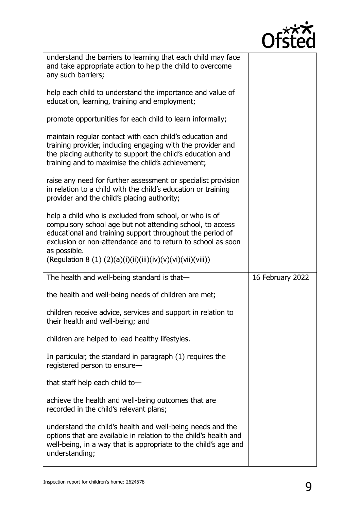

| understand the barriers to learning that each child may face<br>and take appropriate action to help the child to overcome<br>any such barriers;                                                                                                                                                                                |                  |
|--------------------------------------------------------------------------------------------------------------------------------------------------------------------------------------------------------------------------------------------------------------------------------------------------------------------------------|------------------|
| help each child to understand the importance and value of<br>education, learning, training and employment;                                                                                                                                                                                                                     |                  |
| promote opportunities for each child to learn informally;                                                                                                                                                                                                                                                                      |                  |
| maintain regular contact with each child's education and<br>training provider, including engaging with the provider and<br>the placing authority to support the child's education and<br>training and to maximise the child's achievement;                                                                                     |                  |
| raise any need for further assessment or specialist provision<br>in relation to a child with the child's education or training<br>provider and the child's placing authority;                                                                                                                                                  |                  |
| help a child who is excluded from school, or who is of<br>compulsory school age but not attending school, to access<br>educational and training support throughout the period of<br>exclusion or non-attendance and to return to school as soon<br>as possible.<br>(Regulation 8 (1) (2)(a)(i)(ii)(iii)(iv)(v)(vi)(vii)(viii)) |                  |
| The health and well-being standard is that-                                                                                                                                                                                                                                                                                    | 16 February 2022 |
| the health and well-being needs of children are met;                                                                                                                                                                                                                                                                           |                  |
| children receive advice, services and support in relation to                                                                                                                                                                                                                                                                   |                  |
| their health and well-being; and                                                                                                                                                                                                                                                                                               |                  |
| children are helped to lead healthy lifestyles.                                                                                                                                                                                                                                                                                |                  |
| In particular, the standard in paragraph (1) requires the<br>registered person to ensure-                                                                                                                                                                                                                                      |                  |
| that staff help each child to-                                                                                                                                                                                                                                                                                                 |                  |
| achieve the health and well-being outcomes that are<br>recorded in the child's relevant plans;                                                                                                                                                                                                                                 |                  |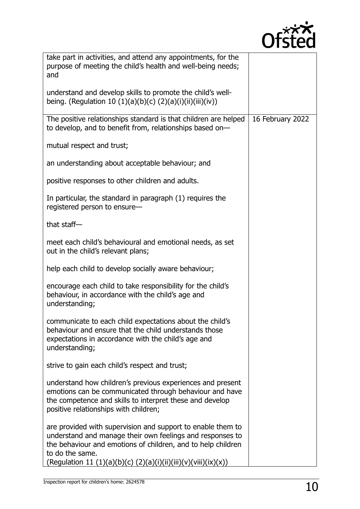

| take part in activities, and attend any appointments, for the<br>purpose of meeting the child's health and well-being needs;<br>and                                                                                                                                            |                  |
|--------------------------------------------------------------------------------------------------------------------------------------------------------------------------------------------------------------------------------------------------------------------------------|------------------|
| understand and develop skills to promote the child's well-<br>being. (Regulation 10 (1)(a)(b)(c) (2)(a)(i)(ii)(iii)(iv))                                                                                                                                                       |                  |
| The positive relationships standard is that children are helped<br>to develop, and to benefit from, relationships based on-                                                                                                                                                    | 16 February 2022 |
| mutual respect and trust;                                                                                                                                                                                                                                                      |                  |
| an understanding about acceptable behaviour; and                                                                                                                                                                                                                               |                  |
| positive responses to other children and adults.                                                                                                                                                                                                                               |                  |
| In particular, the standard in paragraph (1) requires the<br>registered person to ensure-                                                                                                                                                                                      |                  |
| that staff-                                                                                                                                                                                                                                                                    |                  |
| meet each child's behavioural and emotional needs, as set<br>out in the child's relevant plans;                                                                                                                                                                                |                  |
| help each child to develop socially aware behaviour;                                                                                                                                                                                                                           |                  |
| encourage each child to take responsibility for the child's<br>behaviour, in accordance with the child's age and<br>understanding;                                                                                                                                             |                  |
| communicate to each child expectations about the child's<br>behaviour and ensure that the child understands those<br>expectations in accordance with the child's age and<br>understanding;                                                                                     |                  |
| strive to gain each child's respect and trust;                                                                                                                                                                                                                                 |                  |
| understand how children's previous experiences and present<br>emotions can be communicated through behaviour and have<br>the competence and skills to interpret these and develop<br>positive relationships with children;                                                     |                  |
| are provided with supervision and support to enable them to<br>understand and manage their own feelings and responses to<br>the behaviour and emotions of children, and to help children<br>to do the same.<br>(Regulation 11 (1)(a)(b)(c) (2)(a)(i)(ii)(iii)(v)(viii)(ix)(x)) |                  |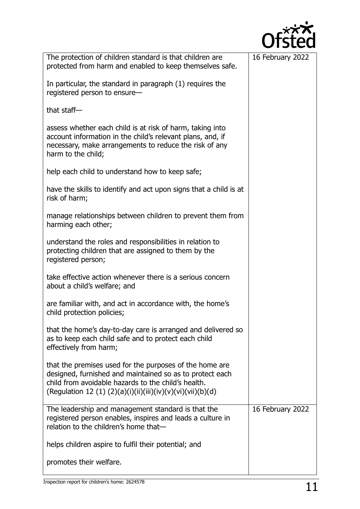| The protection of children standard is that children are<br>protected from harm and enabled to keep themselves safe.                                                                                                                      | 16 February 2022 |
|-------------------------------------------------------------------------------------------------------------------------------------------------------------------------------------------------------------------------------------------|------------------|
| In particular, the standard in paragraph (1) requires the<br>registered person to ensure-                                                                                                                                                 |                  |
| that staff-                                                                                                                                                                                                                               |                  |
| assess whether each child is at risk of harm, taking into<br>account information in the child's relevant plans, and, if<br>necessary, make arrangements to reduce the risk of any<br>harm to the child;                                   |                  |
| help each child to understand how to keep safe;                                                                                                                                                                                           |                  |
| have the skills to identify and act upon signs that a child is at<br>risk of harm;                                                                                                                                                        |                  |
| manage relationships between children to prevent them from<br>harming each other;                                                                                                                                                         |                  |
| understand the roles and responsibilities in relation to<br>protecting children that are assigned to them by the<br>registered person;                                                                                                    |                  |
| take effective action whenever there is a serious concern<br>about a child's welfare; and                                                                                                                                                 |                  |
| are familiar with, and act in accordance with, the home's<br>child protection policies;                                                                                                                                                   |                  |
| that the home's day-to-day care is arranged and delivered so<br>as to keep each child safe and to protect each child<br>effectively from harm;                                                                                            |                  |
| that the premises used for the purposes of the home are<br>designed, furnished and maintained so as to protect each<br>child from avoidable hazards to the child's health.<br>(Regulation 12 (1) (2)(a)(i)(ii)(iii)(iv)(v)(vi)(vii)(b)(d) |                  |
| The leadership and management standard is that the<br>registered person enables, inspires and leads a culture in<br>relation to the children's home that-                                                                                 | 16 February 2022 |
| helps children aspire to fulfil their potential; and                                                                                                                                                                                      |                  |
| promotes their welfare.                                                                                                                                                                                                                   |                  |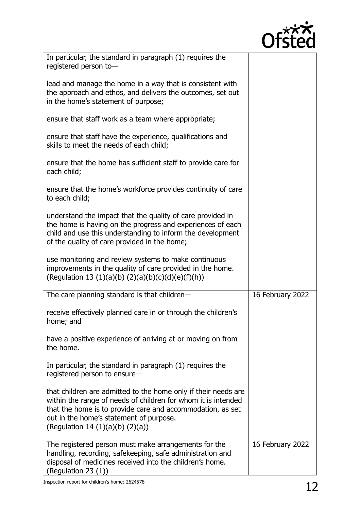

| In particular, the standard in paragraph (1) requires the<br>registered person to-                                                                                                                                                                                                |                  |
|-----------------------------------------------------------------------------------------------------------------------------------------------------------------------------------------------------------------------------------------------------------------------------------|------------------|
| lead and manage the home in a way that is consistent with<br>the approach and ethos, and delivers the outcomes, set out<br>in the home's statement of purpose;                                                                                                                    |                  |
| ensure that staff work as a team where appropriate;                                                                                                                                                                                                                               |                  |
| ensure that staff have the experience, qualifications and<br>skills to meet the needs of each child;                                                                                                                                                                              |                  |
| ensure that the home has sufficient staff to provide care for<br>each child;                                                                                                                                                                                                      |                  |
| ensure that the home's workforce provides continuity of care<br>to each child;                                                                                                                                                                                                    |                  |
| understand the impact that the quality of care provided in<br>the home is having on the progress and experiences of each<br>child and use this understanding to inform the development<br>of the quality of care provided in the home;                                            |                  |
| use monitoring and review systems to make continuous<br>improvements in the quality of care provided in the home.<br>(Regulation 13 (1)(a)(b) (2)(a)(b)(c)(d)(e)(f)(h))                                                                                                           |                  |
| The care planning standard is that children-                                                                                                                                                                                                                                      | 16 February 2022 |
| receive effectively planned care in or through the children's<br>home; and                                                                                                                                                                                                        |                  |
| have a positive experience of arriving at or moving on from<br>the home.                                                                                                                                                                                                          |                  |
| In particular, the standard in paragraph (1) requires the<br>registered person to ensure-                                                                                                                                                                                         |                  |
| that children are admitted to the home only if their needs are<br>within the range of needs of children for whom it is intended<br>that the home is to provide care and accommodation, as set<br>out in the home's statement of purpose.<br>(Regulation 14 $(1)(a)(b)$ $(2)(a)$ ) |                  |
| The registered person must make arrangements for the<br>handling, recording, safekeeping, safe administration and<br>disposal of medicines received into the children's home.<br>(Regulation 23 (1))                                                                              | 16 February 2022 |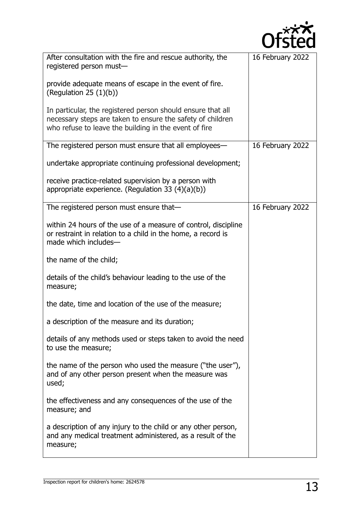

| After consultation with the fire and rescue authority, the<br>registered person must-                                                                                              | 16 February 2022 |
|------------------------------------------------------------------------------------------------------------------------------------------------------------------------------------|------------------|
| provide adequate means of escape in the event of fire.<br>(Regulation 25 $(1)(b)$ )                                                                                                |                  |
| In particular, the registered person should ensure that all<br>necessary steps are taken to ensure the safety of children<br>who refuse to leave the building in the event of fire |                  |
| The registered person must ensure that all employees—                                                                                                                              | 16 February 2022 |
| undertake appropriate continuing professional development;                                                                                                                         |                  |
| receive practice-related supervision by a person with<br>appropriate experience. (Regulation 33 $(4)(a)(b)$ )                                                                      |                  |
| The registered person must ensure that-                                                                                                                                            | 16 February 2022 |
| within 24 hours of the use of a measure of control, discipline<br>or restraint in relation to a child in the home, a record is<br>made which includes-                             |                  |
| the name of the child;                                                                                                                                                             |                  |
| details of the child's behaviour leading to the use of the<br>measure;                                                                                                             |                  |
| the date, time and location of the use of the measure;                                                                                                                             |                  |
| a description of the measure and its duration;                                                                                                                                     |                  |
| details of any methods used or steps taken to avoid the need<br>to use the measure;                                                                                                |                  |
| the name of the person who used the measure ("the user"),<br>and of any other person present when the measure was<br>used;                                                         |                  |
| the effectiveness and any consequences of the use of the<br>measure; and                                                                                                           |                  |
| a description of any injury to the child or any other person,<br>and any medical treatment administered, as a result of the<br>measure;                                            |                  |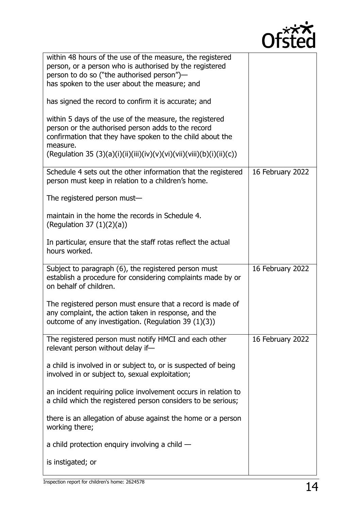

| within 48 hours of the use of the measure, the registered<br>person, or a person who is authorised by the registered                                                       |                  |
|----------------------------------------------------------------------------------------------------------------------------------------------------------------------------|------------------|
| person to do so ("the authorised person")-                                                                                                                                 |                  |
| has spoken to the user about the measure; and                                                                                                                              |                  |
| has signed the record to confirm it is accurate; and                                                                                                                       |                  |
| within 5 days of the use of the measure, the registered                                                                                                                    |                  |
| person or the authorised person adds to the record<br>confirmation that they have spoken to the child about the                                                            |                  |
| measure.<br>(Regulation 35 (3)(a)(i)(ii)(iii)(iv)(v)(vi)(vii)(viii)(b)(i)(ii)(c))                                                                                          |                  |
|                                                                                                                                                                            |                  |
| Schedule 4 sets out the other information that the registered<br>person must keep in relation to a children's home.                                                        | 16 February 2022 |
| The registered person must-                                                                                                                                                |                  |
| maintain in the home the records in Schedule 4.<br>(Regulation 37 $(1)(2)(a)$ )                                                                                            |                  |
| In particular, ensure that the staff rotas reflect the actual<br>hours worked.                                                                                             |                  |
| Subject to paragraph (6), the registered person must<br>establish a procedure for considering complaints made by or<br>on behalf of children.                              | 16 February 2022 |
| The registered person must ensure that a record is made of<br>any complaint, the action taken in response, and the<br>outcome of any investigation. (Regulation 39 (1)(3)) |                  |
| The registered person must notify HMCI and each other<br>relevant person without delay if-                                                                                 | 16 February 2022 |
| a child is involved in or subject to, or is suspected of being<br>involved in or subject to, sexual exploitation;                                                          |                  |
| an incident requiring police involvement occurs in relation to<br>a child which the registered person considers to be serious;                                             |                  |
|                                                                                                                                                                            |                  |
| there is an allegation of abuse against the home or a person<br>working there;                                                                                             |                  |
| a child protection enquiry involving a child $-$                                                                                                                           |                  |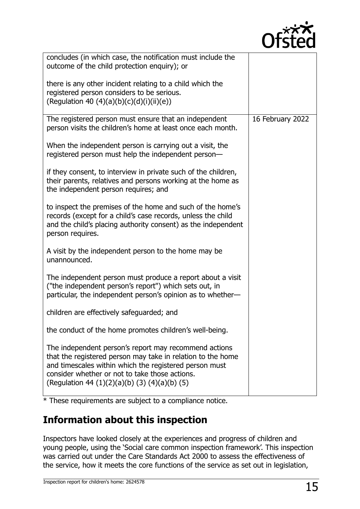

| concludes (in which case, the notification must include the<br>outcome of the child protection enquiry); or<br>there is any other incident relating to a child which the                                                                                                          |                  |
|-----------------------------------------------------------------------------------------------------------------------------------------------------------------------------------------------------------------------------------------------------------------------------------|------------------|
| registered person considers to be serious.<br>(Regulation 40 (4)(a)(b)(c)(d)(i)(ii)(e))                                                                                                                                                                                           |                  |
| The registered person must ensure that an independent<br>person visits the children's home at least once each month.                                                                                                                                                              | 16 February 2022 |
| When the independent person is carrying out a visit, the<br>registered person must help the independent person-                                                                                                                                                                   |                  |
| if they consent, to interview in private such of the children,<br>their parents, relatives and persons working at the home as<br>the independent person requires; and                                                                                                             |                  |
| to inspect the premises of the home and such of the home's<br>records (except for a child's case records, unless the child<br>and the child's placing authority consent) as the independent<br>person requires.                                                                   |                  |
| A visit by the independent person to the home may be<br>unannounced.                                                                                                                                                                                                              |                  |
| The independent person must produce a report about a visit<br>("the independent person's report") which sets out, in<br>particular, the independent person's opinion as to whether-                                                                                               |                  |
| children are effectively safeguarded; and                                                                                                                                                                                                                                         |                  |
| the conduct of the home promotes children's well-being.                                                                                                                                                                                                                           |                  |
| The independent person's report may recommend actions<br>that the registered person may take in relation to the home<br>and timescales within which the registered person must<br>consider whether or not to take those actions.<br>(Regulation 44 (1)(2)(a)(b) (3) (4)(a)(b) (5) |                  |

\* These requirements are subject to a compliance notice.

# **Information about this inspection**

Inspectors have looked closely at the experiences and progress of children and young people, using the 'Social care common inspection framework'. This inspection was carried out under the Care Standards Act 2000 to assess the effectiveness of the service, how it meets the core functions of the service as set out in legislation,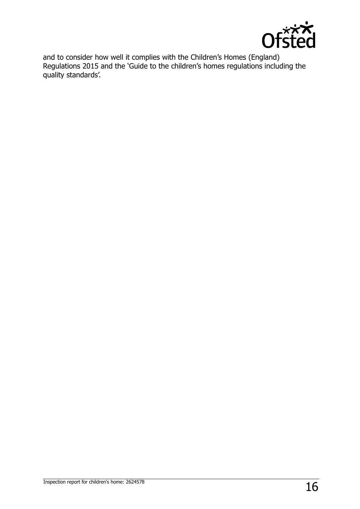

and to consider how well it complies with the Children's Homes (England) Regulations 2015 and the 'Guide to the children's homes regulations including the quality standards'.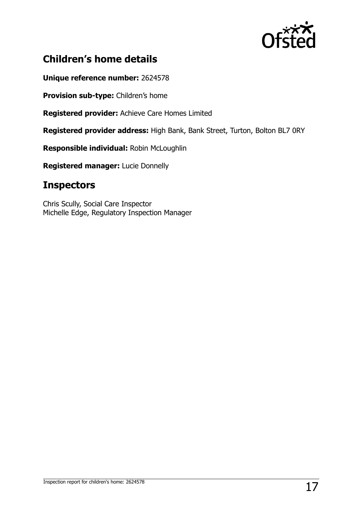

# **Children's home details**

**Unique reference number:** 2624578

**Provision sub-type:** Children's home

**Registered provider:** Achieve Care Homes Limited

**Registered provider address:** High Bank, Bank Street, Turton, Bolton BL7 0RY

**Responsible individual:** Robin McLoughlin

**Registered manager:** Lucie Donnelly

# **Inspectors**

Chris Scully, Social Care Inspector Michelle Edge, Regulatory Inspection Manager